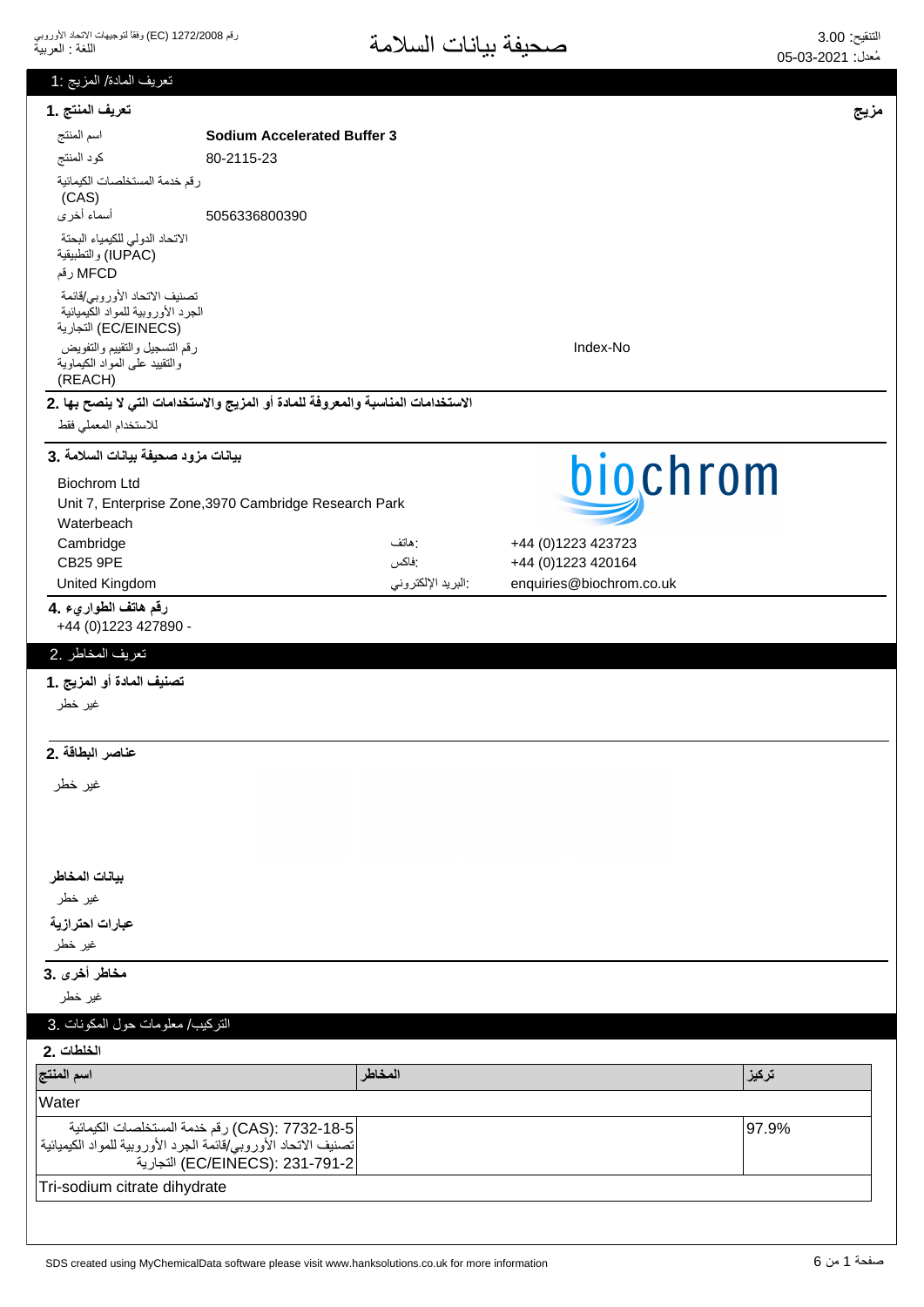| تعريف المادة/ المزيج :1                                                                    |                                                                                   |                   |                          |       |
|--------------------------------------------------------------------------------------------|-----------------------------------------------------------------------------------|-------------------|--------------------------|-------|
| تعريف المنتج .1                                                                            |                                                                                   |                   |                          | مزيج  |
| اسم المنتج                                                                                 | <b>Sodium Accelerated Buffer 3</b>                                                |                   |                          |       |
| كود المنتج                                                                                 | 80-2115-23                                                                        |                   |                          |       |
| رقم خدمة المستخلصات الكيمائية<br>(CAS)                                                     |                                                                                   |                   |                          |       |
| أسماء أخرى                                                                                 | 5056336800390                                                                     |                   |                          |       |
| الاتحاد الدولى للكيمياء البحتة<br>(IUPAC) والتطبيقية<br>MFCD رقم                           |                                                                                   |                   |                          |       |
| تصنيف الاتحاد الأوروبي/قائمة<br>الجرد الأوروبية للمواد الكَيميائية<br>(EC/EINECS) التجارية |                                                                                   |                   |                          |       |
| رقم التسجيل والتقييم والتفويض<br>والنقييد على المواد الكيماوية<br>(REACH)                  |                                                                                   |                   | Index-No                 |       |
|                                                                                            | الاستخدامات المناسبة والمعروفة للمادة أو المزيج والاستخدامات التي لا ينصح بها .2  |                   |                          |       |
| للاستخدام المعملي فقط                                                                      |                                                                                   |                   |                          |       |
| بيانات مزود صحيفة بيانات السلامة .3                                                        |                                                                                   |                   | biochrom                 |       |
| <b>Biochrom Ltd</b>                                                                        |                                                                                   |                   |                          |       |
| Waterbeach                                                                                 | Unit 7, Enterprise Zone, 3970 Cambridge Research Park                             |                   |                          |       |
| Cambridge                                                                                  |                                                                                   | : هاتف            | +44 (0)1223 423723       |       |
| <b>CB25 9PE</b>                                                                            |                                                                                   | :فاكس             | +44 (0)1223 420164       |       |
| United Kingdom                                                                             |                                                                                   | البريد الإلكتروني | enquiries@biochrom.co.uk |       |
| رقم هاتف الطواريء .4<br>+44 (0) 1223 427890 -                                              |                                                                                   |                   |                          |       |
| تعريف المخاطر .2                                                                           |                                                                                   |                   |                          |       |
| تصنيف المادة أو المزيج .1                                                                  |                                                                                   |                   |                          |       |
| غير خطر                                                                                    |                                                                                   |                   |                          |       |
|                                                                                            |                                                                                   |                   |                          |       |
| عناصر البطاقة .2                                                                           |                                                                                   |                   |                          |       |
| غير خطر                                                                                    |                                                                                   |                   |                          |       |
|                                                                                            |                                                                                   |                   |                          |       |
|                                                                                            |                                                                                   |                   |                          |       |
|                                                                                            |                                                                                   |                   |                          |       |
| بيانات المخاطر<br>غیر خطر                                                                  |                                                                                   |                   |                          |       |
| عبارات احترازية                                                                            |                                                                                   |                   |                          |       |
| غير خطر                                                                                    |                                                                                   |                   |                          |       |
| مخاطر أخرى .3                                                                              |                                                                                   |                   |                          |       |
| غير خطر                                                                                    |                                                                                   |                   |                          |       |
| التركيب/ معلومات حول المكونات .3                                                           |                                                                                   |                   |                          |       |
| الخلطات .2                                                                                 |                                                                                   |                   |                          |       |
| اسم المنتج                                                                                 |                                                                                   | المخاطر           |                          | تركيز |
| Water                                                                                      |                                                                                   |                   |                          |       |
| تصنيف الاتحاد الأوروبي/قائمة الجرد الأوروبية للمواد الكيميائية                             | CAS): 7732-18-5) رقم خدمة المستخلصات الكيمائية<br>EC/EINECS): 231-791-2) التجارية |                   |                          | 97.9% |
| Tri-sodium citrate dihydrate                                                               |                                                                                   |                   |                          |       |
|                                                                                            |                                                                                   |                   |                          |       |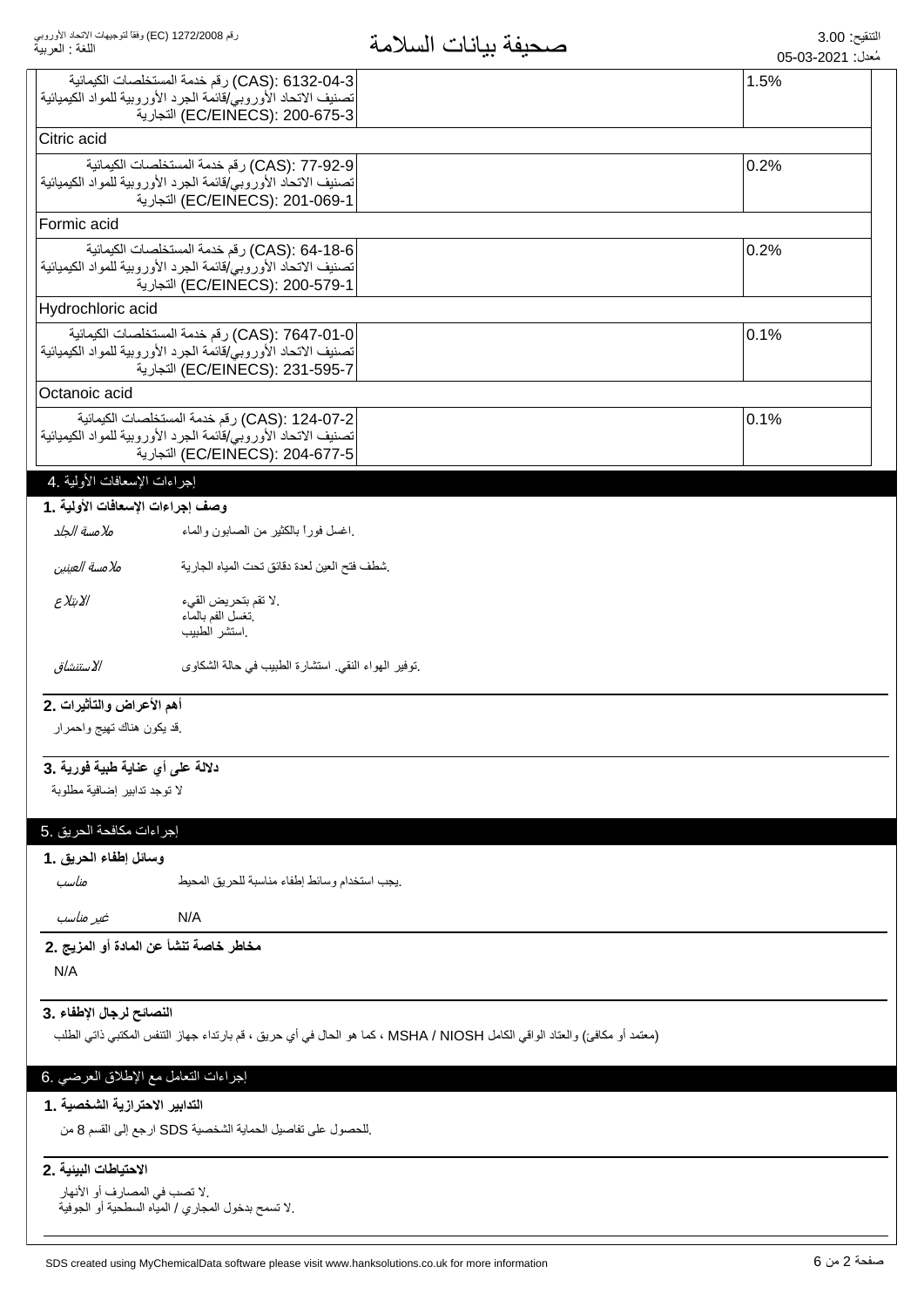| رقم 1272/2008 (EC) وفقاً لتوجيهات الاتحاد الأوروبي<br>اللغة : العربية |                                                                                                                | صحيفة بيانات السلامة                                                                                                      | التنقيح: 3.00<br>مُعدل: 2021-03-05 |
|-----------------------------------------------------------------------|----------------------------------------------------------------------------------------------------------------|---------------------------------------------------------------------------------------------------------------------------|------------------------------------|
|                                                                       | CAS): 6132-04-3) رقم خدمة المستخلصات الكيمائية                                                                 |                                                                                                                           | 1.5%                               |
|                                                                       | تصنيف الاتحاد الأوروبي/قائمة الجرد الأوروبية للمواد الكيميائية                                                 |                                                                                                                           |                                    |
|                                                                       | EC/EINECS): 200-675-3) التجارية                                                                                |                                                                                                                           |                                    |
| Citric acid                                                           |                                                                                                                |                                                                                                                           |                                    |
|                                                                       | CAS): 77-92-9) رقم خدمة المستخلصات الكيمائية                                                                   |                                                                                                                           | 0.2%                               |
|                                                                       | تصنيف الاتحاد الأوروبي/قائمة الجرد الأوروبية للمواد الكيميائية<br>EC/EINECS): 201-069-1) التجارية              |                                                                                                                           |                                    |
| Formic acid                                                           |                                                                                                                |                                                                                                                           |                                    |
|                                                                       |                                                                                                                |                                                                                                                           |                                    |
|                                                                       | CAS): 64-18-6) رقم خدمة المستخلصات الكيمائية<br>تصنيف الاتحاد الأوروبي/قائمة الجرد الأوروبية للمواد الكيميائية |                                                                                                                           | 0.2%                               |
|                                                                       | EC/EINECS): 200-579-1) التجارية                                                                                |                                                                                                                           |                                    |
| Hydrochloric acid                                                     |                                                                                                                |                                                                                                                           |                                    |
|                                                                       | CAS): 7647-01-0) رقم خدمة المستخلصات الكيمائية                                                                 |                                                                                                                           | 0.1%                               |
|                                                                       | تصنيف الاتحاد الأوروبي/قائمة الجرد الأوروبية للمواد الكيميائية                                                 |                                                                                                                           |                                    |
|                                                                       | EC/EINECS): 231-595-7) التجارية                                                                                |                                                                                                                           |                                    |
| Octanoic acid                                                         |                                                                                                                |                                                                                                                           |                                    |
|                                                                       | CAS): 124-07-2) رقم خدمة المستخلصات الكيمائية                                                                  |                                                                                                                           | 0.1%                               |
|                                                                       | تصنيف الاتحاد الأوروبي/فائمة الجرد الأوروبية للمواد الكيميائية<br>EC/EINECS): 204-677-5) التجارية              |                                                                                                                           |                                    |
| إجراءات الإسعافات الأولية .4                                          |                                                                                                                |                                                                                                                           |                                    |
| وصف إجراءات الإسعافات الأولية .1                                      |                                                                                                                |                                                                                                                           |                                    |
|                                                                       |                                                                                                                |                                                                                                                           |                                    |
| ملامسة الجلد                                                          | اغسل فورأ بالكثير من الصابون والماء                                                                            |                                                                                                                           |                                    |
| ملامسة العينين                                                        | شطف فتح العين لعدة دقائق تحت المياه الجارية                                                                    |                                                                                                                           |                                    |
| الابتلاع                                                              | .لا تقم بتحريض القيء                                                                                           |                                                                                                                           |                                    |
|                                                                       | نغسل الفم بالماء<br>استشر الطبيب                                                                               |                                                                                                                           |                                    |
| الاستنشاق                                                             | نوفير الهواء النقي استشارة الطبيب في حالة الشكاوى                                                              |                                                                                                                           |                                    |
|                                                                       |                                                                                                                |                                                                                                                           |                                    |
| أهم الأعراض والتأثيرات .2                                             |                                                                                                                |                                                                                                                           |                                    |
| فد يكون هناك نهيج واحمرار                                             |                                                                                                                |                                                                                                                           |                                    |
| دلالة على أي عناية طبية فورية .3                                      |                                                                                                                |                                                                                                                           |                                    |
| لا توجد تدابير إضافية مطلوبة                                          |                                                                                                                |                                                                                                                           |                                    |
|                                                                       |                                                                                                                |                                                                                                                           |                                    |
| إجراءات مكافحة الحريق .5                                              |                                                                                                                |                                                                                                                           |                                    |
| وسائل إطفاء الحريق .1                                                 |                                                                                                                |                                                                                                                           |                                    |
| مناسب                                                                 | يجب استخدام وسائط إطفاء مناسبة للحريق المحيط                                                                   |                                                                                                                           |                                    |
| غير مناسب                                                             | N/A                                                                                                            |                                                                                                                           |                                    |
| مخاطر خاصة تنشأ عن المادة أو المزيج .2                                |                                                                                                                |                                                                                                                           |                                    |
| N/A                                                                   |                                                                                                                |                                                                                                                           |                                    |
| النصائح لرجال الإطفاء . 3                                             |                                                                                                                |                                                                                                                           |                                    |
|                                                                       |                                                                                                                | (معتمد أو مكافئ) والعتاد الواقي الكامل MSHA / NIOSH ، كما هو الحال في أي حريق ، قم بارتداء جهاز التنفس المكتبي ذاتي الطلب |                                    |
|                                                                       |                                                                                                                |                                                                                                                           |                                    |
| إجراءات النعامل مع الإطلاق العرضي .6                                  |                                                                                                                |                                                                                                                           |                                    |
| التدابير الاحترازية الشخصية . 1                                       |                                                                                                                |                                                                                                                           |                                    |
|                                                                       | للحصول على تفاصيل الحماية الشخصية SDS ارجع إلى القسم 8 من                                                      |                                                                                                                           |                                    |
| الاحتياطات البيئية .2                                                 |                                                                                                                |                                                                                                                           |                                    |
| .لا تصب في المصارف أو الأنهار                                         |                                                                                                                |                                                                                                                           |                                    |
|                                                                       | .لا تسمح بدخول المجاري / الميّاه السطحية أو الجوفية                                                            |                                                                                                                           |                                    |
|                                                                       |                                                                                                                |                                                                                                                           |                                    |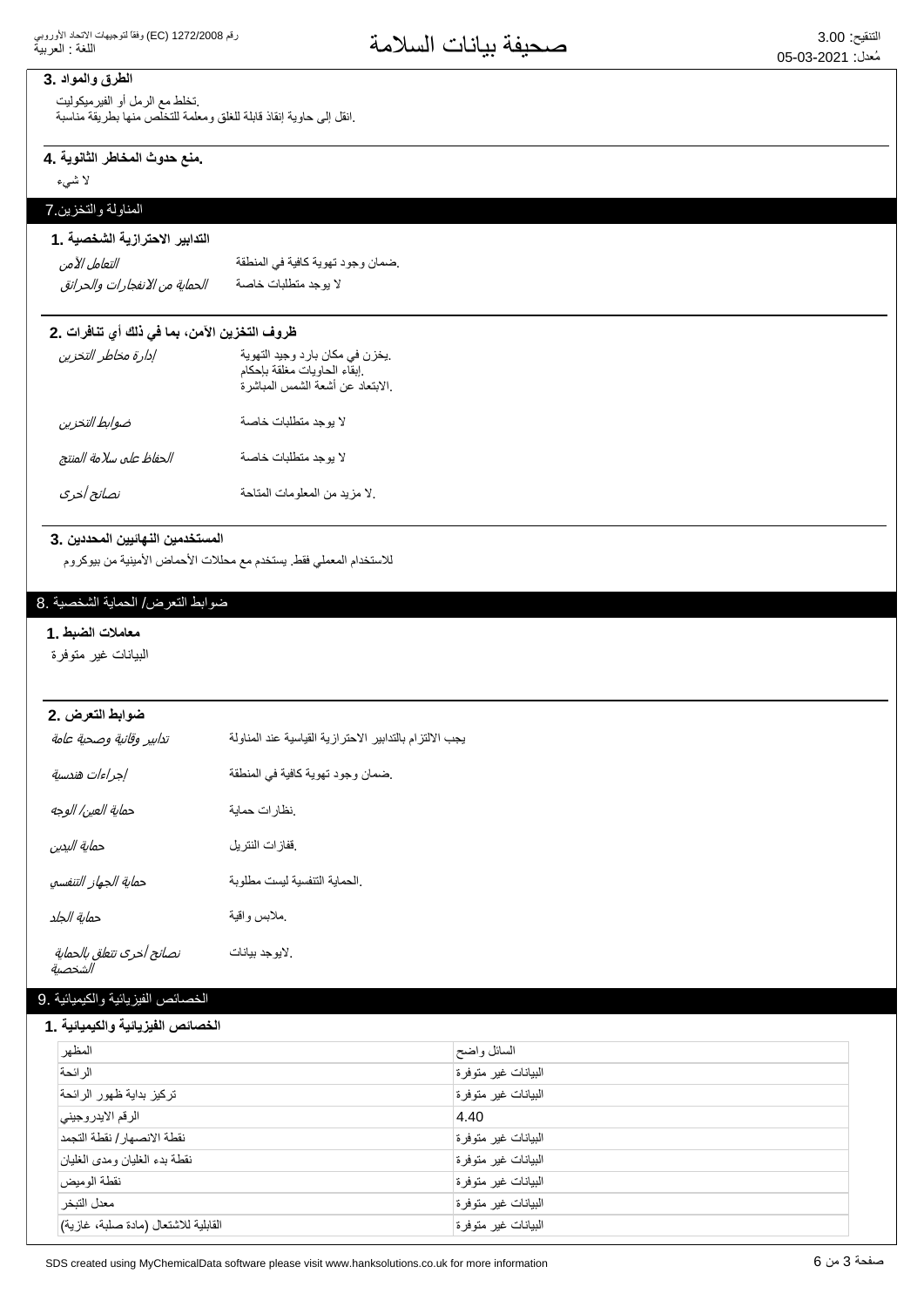#### **الطرق والمواد .3**

تخلط مع الرمل أو الفيرميكوليت .انقل إلى حاوية إنقاذ قابلة للغلق ومعلمة للتخلص منها بطريقة مناسبة

## منع حدوث المخاطر الثانوية .4

لا شيء

## المناولة والتخزين 7

## التدابير الاحترازية الشخصية . **1**

| التعامل الآمن                  | ضمان وجود تهوية كافية في المنطقة |
|--------------------------------|----------------------------------|
| الحماية من الانفجارات والحرائق | لا يوجد متطلبات خاصة             |

#### ظروف التخزين الآمن، بما في ذلك أي تنافرات .2

| إدارة مخاطر التخزين     | يخزن في مكان بارد وجيد التهوية<br>إبقاء الحاويات مغلقة بإحكام<br>إلابتعاد عن أشعة الشمس المباشرة. |
|-------------------------|---------------------------------------------------------------------------------------------------|
| ضوابط التخزين           | لا بوجد متطلبات خاصة                                                                              |
| الحفاظ على سلامة المنتج | لا بوجد متطلبات خاصة                                                                              |
| نصائح أخرى              | لا مزيد من المعلومات المتاحة                                                                      |

#### المستخدمين النهائيين المحددين .3

للاستخدام المعملي فقط. يستخدم مع محللات الأحماض الأمينية من بيوكروم

#### ضوابط التعرض/ الحماية الشخصية .8

#### معاملات الضبط .1

البيانات غير متوفرة

### **2. νέόΗϟρΑϭο**

| تدابير وقائية وصحية عامة             | يجب الالتزام بالتدابير الاحترازية القياسية عند المناولة |
|--------------------------------------|---------------------------------------------------------|
| إجراءات هندسية                       | ضمان وجود تهوية كافية في المنطقة                        |
| حماية العين/ الوجه                   | نظارات حماية                                            |
| حماية اليدين                         | ففازات النتريل                                          |
| حماية الجهاز التنفسي                 | الحماية التنفسية ليست مطلوبة                            |
| حماية الجلد                          | ملابس واقية                                             |
| نصائح أخرى تتعلق بالحماية<br>الشخصية | لايوجد بيانات                                           |

#### الخصائص الفيزيائية والكيميائية .9

#### الخصائص الفيزيائية والكيميائية **.**1

| المظهر                               | السائل واضح         |
|--------------------------------------|---------------------|
| الرائحة                              | البيانات غير متوفرة |
| تركيز بداية ظهور الرائحة             | البيانات غير متوفرة |
| الرقم الايدر وجيني                   | 4.40                |
| نقطة الانصهار / نقطة التجمد          | البيانات غير متوفرة |
| نقطة بدء الغليان ومدى الغليان        | البيانات غير متوفرة |
| نقطة الوميض                          | البيانات غير متوفرة |
| معدل التبخر                          | البيانات غير متوفرة |
| القابلية للاشتعال (مادة صلبة، غازية) | البيانات غير متوفرة |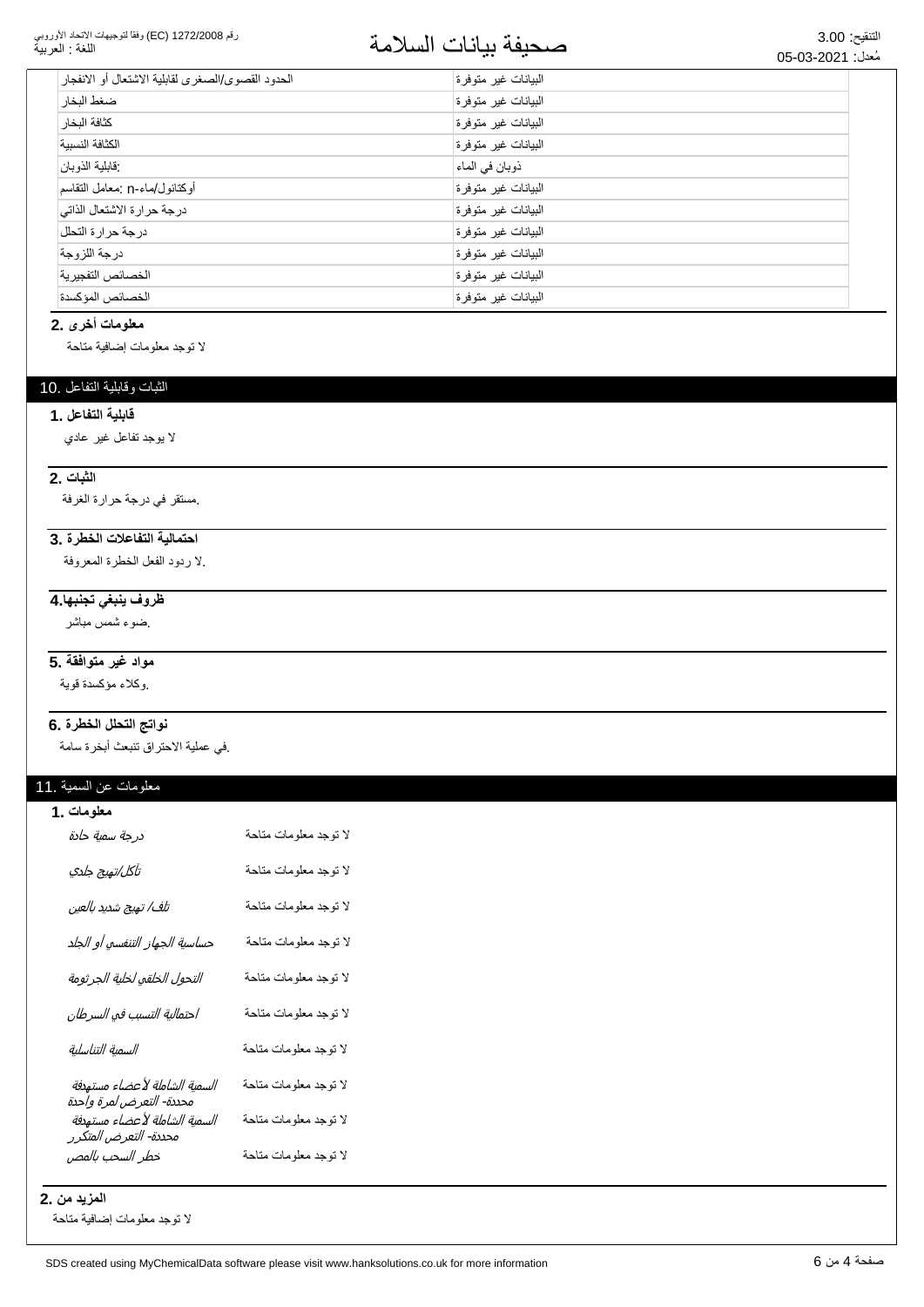رقم 1272/2008 (EC) وفقاً لتوجيهات الاتحاد الأوروبي اللغة : العربية

# التنقيع: 3.00<br>مُعدان 2001-03-2013

| الحدود القصوى/الصغرى لقابلية الاشتعال أو الانفجار | البيانات غير متوفرة  |
|---------------------------------------------------|----------------------|
| ضغط البخار                                        | البيانات غير متوفرة  |
| كثافة البخار                                      | الىبيانات غير متوفرة |
| الكثافة النسسة                                    | البيانات غير متوفرة  |
| فابلية الذوبان                                    | ذوبان في الماء       |
| أوكتانول/ماء-n :معامل النقاسم                     | البيانات غير متوفرة  |
| درجة حرارة الاشتعال الذاتي                        | البيانات غير متوفرة  |
| درجة حرارة التحلل                                 | البيانات غير متوفرة  |
| در جة اللز وجة                                    | البيانات غير متوفرة  |
| الخصائص التفجير ية                                | البيانات غير متوفرة  |
| الخصائص المؤكسدة                                  | البيانات غير متوفرة  |

#### معلومات أخرى .2

لا نوجد معلومات إضافية متاحة

#### الثبات وقابلية التفاعل .10

#### **قابلية التفاعل .1**

لا بوجد تفاعل غیر عادي

#### **1لثبات** .2

مستقر في درجة حرارة الغرفة.

#### احتمالية التفاعلات الخطرة .3

لا ردود الفعل الخطرة المعروفة.

#### <del>ظروف ينبغى تجنبها 4</del>

یضو ۽ شمس مباشر

#### مواد غير متوافقة .5

وكلاء مؤكسدة قوية

#### نواتج التحلل الخطرة .6

في عملية الاحتراق تتبعث أبخرة سامة.

#### معلومات عن السمية .11

| معلومات .1                                                |                       |
|-----------------------------------------------------------|-----------------------|
| درجة سمية حادة                                            | لا توجد معلومات متاحة |
| تآكل/تهيج جلدي                                            | لا توجد معلومات متاحة |
| تلف/ تهيج شديد بالعين                                     | لا توجد معلومات متاحة |
| حساسية الجهاز التنفسي أو الجلد                            | لا توجد معلومات متاحة |
| التحول الخلقي لخلية الجرثومة                              | لا توجد معلومات متاحة |
| احتمالية التسبب في السرطان                                | لا توجد معلومات متاحة |
| السمية التناسلية                                          | لا توجد معلومات متاحة |
| السمية الشاملة لأعضاء مستهدفة<br>محددة- التعرض لمرة واحدة | لا توجد معلومات متاحة |
| السمية الشاملة لأعضاء مستهدفة<br>محددة- التعرض المتكرر    | لا توجد معلومات متاحة |
| خطر السحب بالمص                                           | لا توجد معلومات متاحة |

**المزيد من .2** 

لا نوجد معلومات إضافية متاحة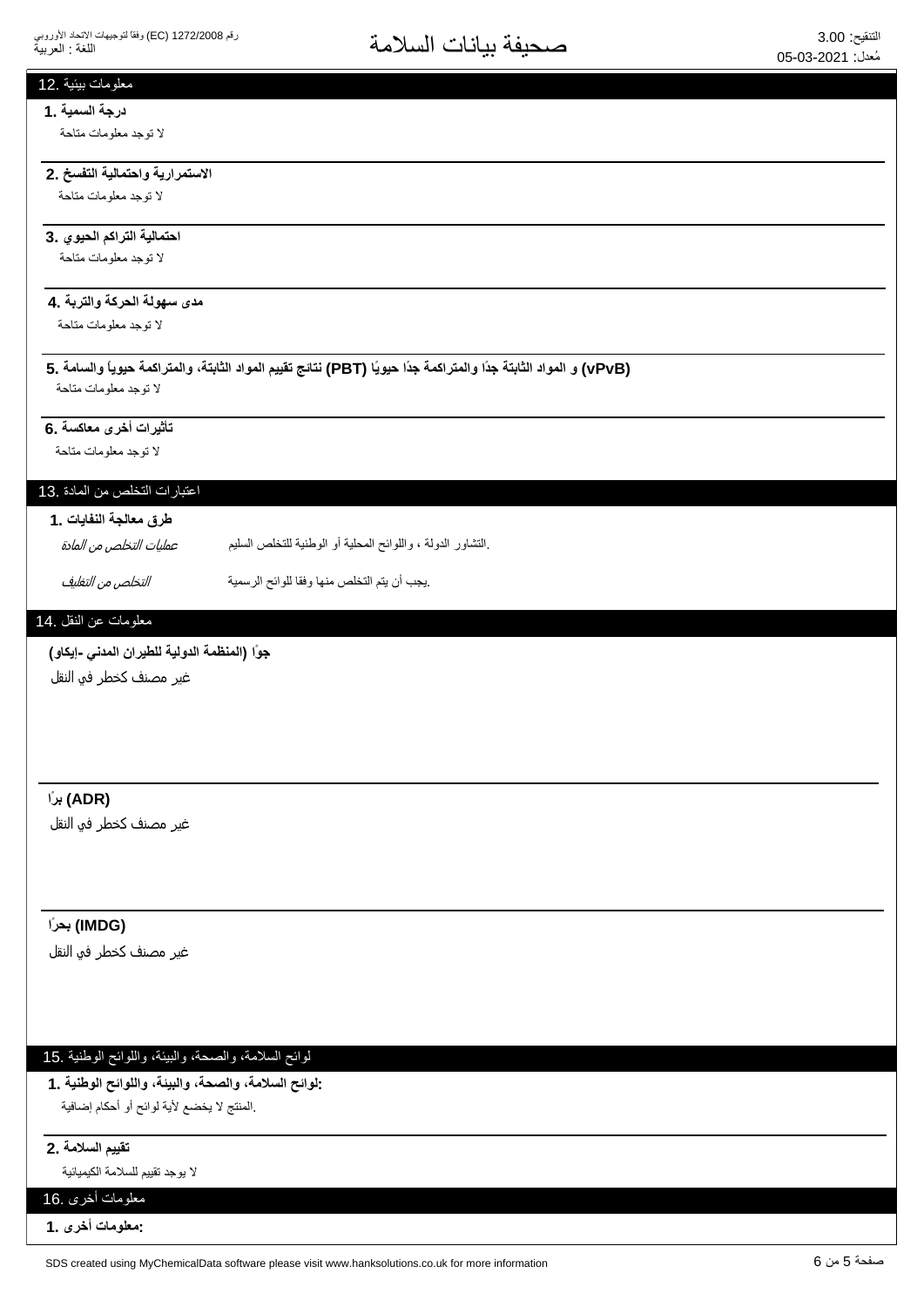#### معلومات بيئية .12

# **درجة السمية .1**

لا توجد معلومات متاحة

#### الاستمرارية واحتمالية التفسخ .2 لا توجد معلومات متاحة

## احتمالية التراكم الحيوي .3

لا توجد معلومات متاحة

#### مدى سهولة الحركة والتربة **.4**

لا توجد معلومات متاحة

**5. ΔϣΎγϟϭ˱ΎϳϭϳΣΔϣϛέΗϣϟϭˬΔΗΑΎΛϟΩϭϣϟϡϳϳϘΗΞΎΗϧ (PBT) Ύ˱ϳϭϳΣ˱ΩΟΔϣϛέΗϣϟϭ˱ΩΟΔΗΑΎΛϟΩϭϣϟϭ (vPvB)** لا توجد معلومات متاحة

#### تأثيرات أخرى معاكسة .6

لا توجد معلومات متاحة

## اعتبار ات التخلص من المادة .13

#### طرق معالجة النفايات .1

.التشاور الدولة ، واللوائح المحلية أو الوطنية للتخلص السليم عمليات التخلص من المادة

ͮ௬Ͼ̲௪̺͙ͳ̻ͧϾ̞௪̺͙ ΔϳϣγέϟϭϠϟΎϘϓϭΎϬϧϣιϠΧΗϟϡΗϳϥΏΟϳ.

#### معلومات عن النقل .14

#### جوًا (المنظمة الدولية للطيرا*ن* المدن*ى -إيكاو)*

غیر مصنف کخطر فو النقل

#### **˱έΑ (ADR)**

غير مصنف كخطر في النقل

#### **˱έΣΑ (IMDG)**

غير مصنف كخطر في النقل

#### لوائح السلامة، والصحة، والبيئة، واللوائح الوطنية .15

**1. ΔϳϧρϭϟϭϠϟϭˬΔϳΑϟϭˬΔΣλϟϭˬΔϣϼγϟϭϟ:** المنتج لا يخضع لأية لوائح أو أحكام إضافية.

#### نقييم السلامة .2

لا بوجد تقييم للسلامة الكيميائية

### معلومات أخرى .16

**1. ϯέΧΕΎϣϭϠόϣ:**